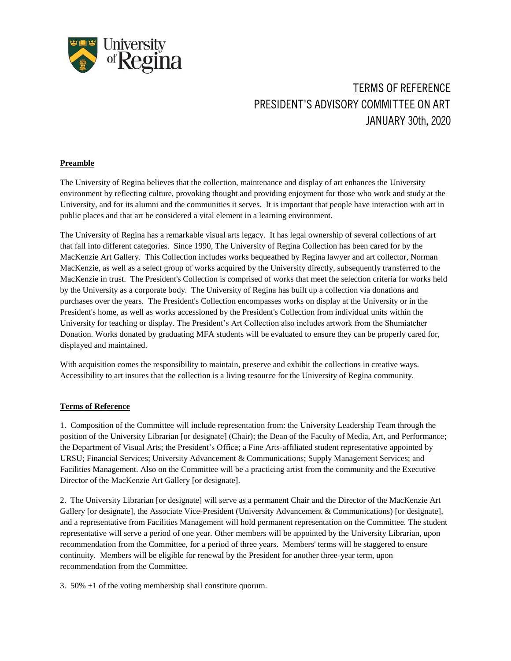

## **TERMS OF REFERENCE PRESIDENT'S ADVISORY COMMITTEE ON ART JANUARY 30th, 2020**

## **Preamble**

The University of Regina believes that the collection, maintenance and display of art enhances the University environment by reflecting culture, provoking thought and providing enjoyment for those who work and study at the University, and for its alumni and the communities it serves. It is important that people have interaction with art in public places and that art be considered a vital element in a learning environment.

The University of Regina has a remarkable visual arts legacy. It has legal ownership of several collections of art that fall into different categories. Since 1990, The University of Regina Collection has been cared for by the MacKenzie Art Gallery. This Collection includes works bequeathed by Regina lawyer and art collector, Norman MacKenzie, as well as a select group of works acquired by the University directly, subsequently transferred to the MacKenzie in trust. The President's Collection is comprised of works that meet the selection criteria for works held by the University as a corporate body. The University of Regina has built up a collection via donations and purchases over the years. The President's Collection encompasses works on display at the University or in the President's home, as well as works accessioned by the President's Collection from individual units within the University for teaching or display. The President's Art Collection also includes artwork from the Shumiatcher Donation. Works donated by graduating MFA students will be evaluated to ensure they can be properly cared for, displayed and maintained.

With acquisition comes the responsibility to maintain, preserve and exhibit the collections in creative ways. Accessibility to art insures that the collection is a living resource for the University of Regina community.

## **Terms of Reference**

1. Composition of the Committee will include representation from: the University Leadership Team through the position of the University Librarian [or designate] (Chair); the Dean of the Faculty of Media, Art, and Performance; the Department of Visual Arts; the President's Office; a Fine Arts-affiliated student representative appointed by URSU; Financial Services; University Advancement & Communications; Supply Management Services; and Facilities Management. Also on the Committee will be a practicing artist from the community and the Executive Director of the MacKenzie Art Gallery [or designate].

2. The University Librarian [or designate] will serve as a permanent Chair and the Director of the MacKenzie Art Gallery [or designate], the Associate Vice-President (University Advancement & Communications) [or designate], and a representative from Facilities Management will hold permanent representation on the Committee. The student representative will serve a period of one year. Other members will be appointed by the University Librarian, upon recommendation from the Committee, for a period of three years. Members' terms will be staggered to ensure continuity. Members will be eligible for renewal by the President for another three-year term, upon recommendation from the Committee.

3. 50% +1 of the voting membership shall constitute quorum.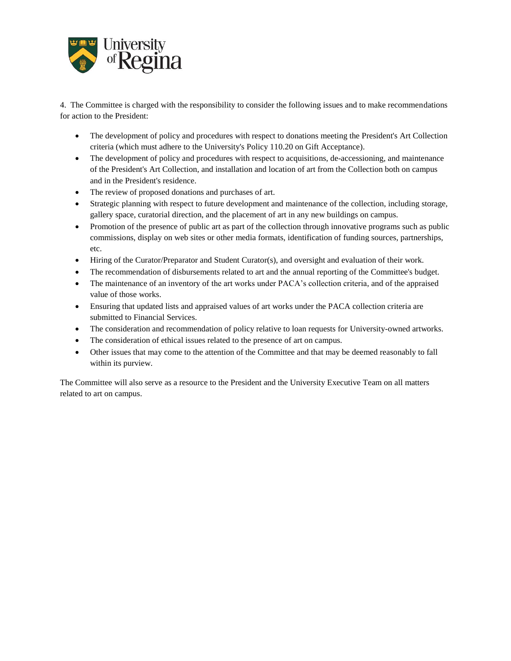

4. The Committee is charged with the responsibility to consider the following issues and to make recommendations for action to the President:

- The development of policy and procedures with respect to donations meeting the President's Art Collection criteria (which must adhere to the University's Policy 110.20 on Gift Acceptance).
- The development of policy and procedures with respect to acquisitions, de-accessioning, and maintenance of the President's Art Collection, and installation and location of art from the Collection both on campus and in the President's residence.
- The review of proposed donations and purchases of art.
- Strategic planning with respect to future development and maintenance of the collection, including storage, gallery space, curatorial direction, and the placement of art in any new buildings on campus.
- Promotion of the presence of public art as part of the collection through innovative programs such as public commissions, display on web sites or other media formats, identification of funding sources, partnerships, etc.
- Hiring of the Curator/Preparator and Student Curator(s), and oversight and evaluation of their work.
- The recommendation of disbursements related to art and the annual reporting of the Committee's budget.
- The maintenance of an inventory of the art works under PACA's collection criteria, and of the appraised value of those works.
- Ensuring that updated lists and appraised values of art works under the PACA collection criteria are submitted to Financial Services.
- The consideration and recommendation of policy relative to loan requests for University-owned artworks.
- The consideration of ethical issues related to the presence of art on campus.
- Other issues that may come to the attention of the Committee and that may be deemed reasonably to fall within its purview.

The Committee will also serve as a resource to the President and the University Executive Team on all matters related to art on campus.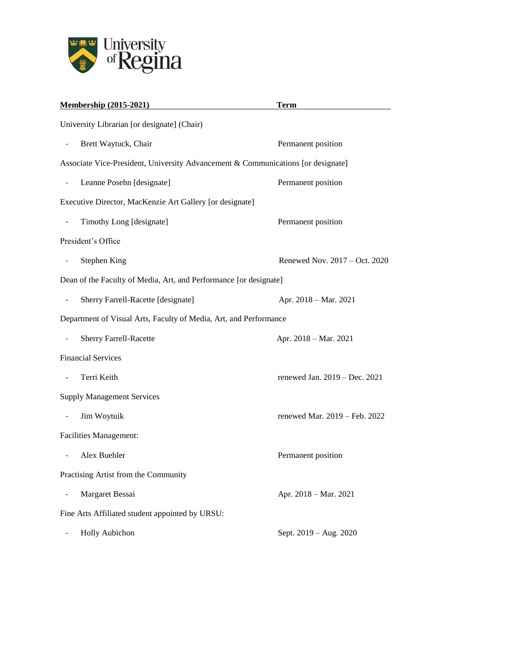

| <b>Membership (2015-2021)</b>                                                    | <b>Term</b>                   |
|----------------------------------------------------------------------------------|-------------------------------|
| University Librarian [or designate] (Chair)                                      |                               |
| Brett Waytuck, Chair                                                             | Permanent position            |
| Associate Vice-President, University Advancement & Communications [or designate] |                               |
| Leanne Posehn [designate]<br>$\qquad \qquad \blacksquare$                        | Permanent position            |
| Executive Director, MacKenzie Art Gallery [or designate]                         |                               |
| Timothy Long [designate]<br>$\qquad \qquad \blacksquare$                         | Permanent position            |
| President's Office                                                               |                               |
| <b>Stephen King</b><br>$\overline{\phantom{0}}$                                  | Renewed Nov. 2017 - Oct. 2020 |
| Dean of the Faculty of Media, Art, and Performance [or designate]                |                               |
| Sherry Farrell-Racette [designate]                                               | Apr. 2018 - Mar. 2021         |
| Department of Visual Arts, Faculty of Media, Art, and Performance                |                               |
| <b>Sherry Farrell-Racette</b>                                                    | Apr. 2018 - Mar. 2021         |
| <b>Financial Services</b>                                                        |                               |
| Terri Keith<br>$\overline{\phantom{0}}$                                          | renewed Jan. 2019 – Dec. 2021 |
| <b>Supply Management Services</b>                                                |                               |
| Jim Woytuik                                                                      | renewed Mar. 2019 - Feb. 2022 |
| <b>Facilities Management:</b>                                                    |                               |
| Alex Buehler                                                                     | Permanent position            |
| Practising Artist from the Community                                             |                               |
| Margaret Bessai                                                                  | Apr. 2018 - Mar. 2021         |
| Fine Arts Affiliated student appointed by URSU:                                  |                               |
| <b>Holly Aubichon</b>                                                            | Sept. 2019 – Aug. 2020        |